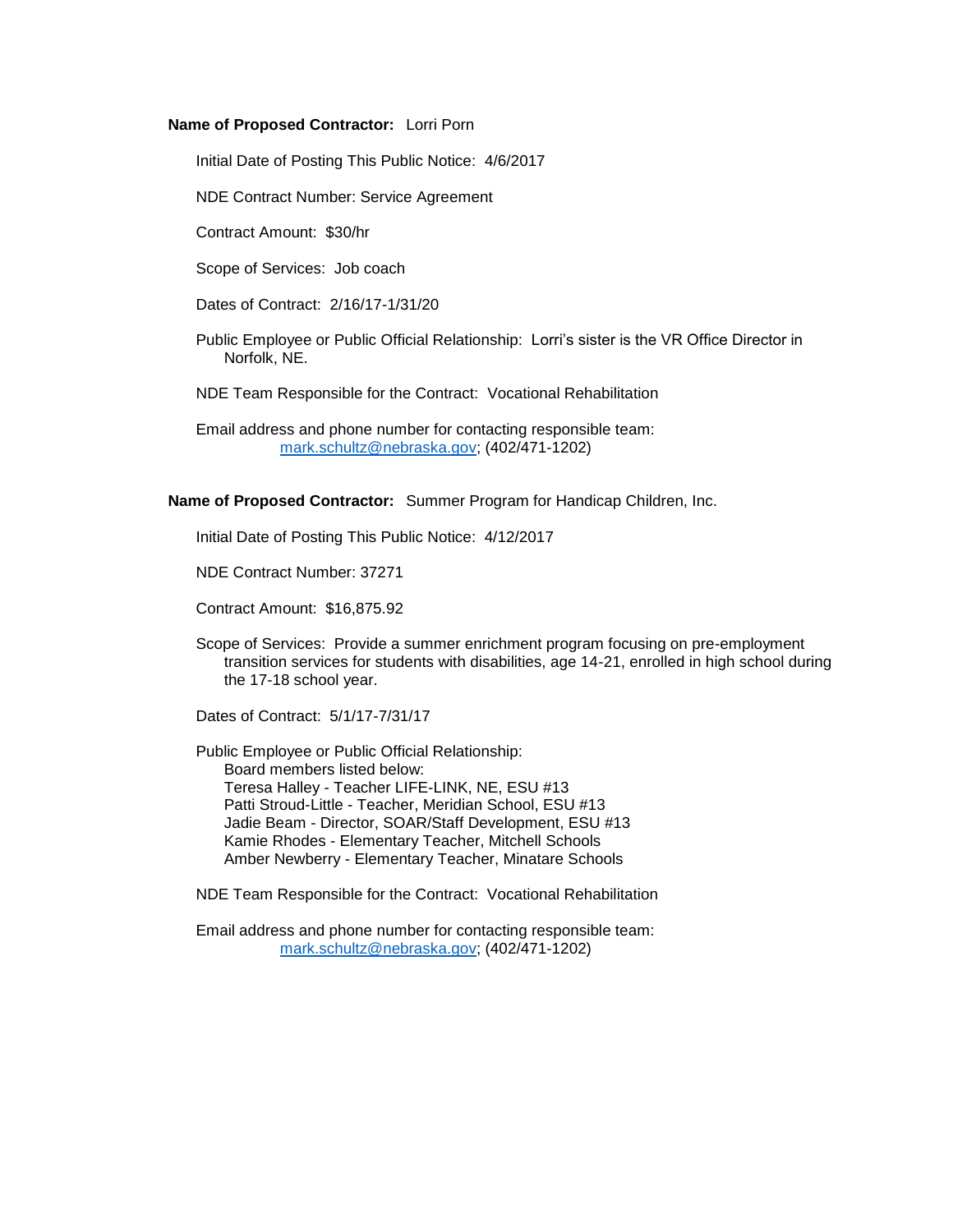#### **Name of Proposed Contractor:** Lorri Porn

Initial Date of Posting This Public Notice: 4/6/2017

NDE Contract Number: Service Agreement

Contract Amount: \$30/hr

Scope of Services: Job coach

Dates of Contract: 2/16/17-1/31/20

- Public Employee or Public Official Relationship: Lorri's sister is the VR Office Director in Norfolk, NE.
- NDE Team Responsible for the Contract: Vocational Rehabilitation

Email address and phone number for contacting responsible team: [mark.schultz@nebraska.gov;](mailto:mark.schultz@nebraska.gov) (402/471-1202)

**Name of Proposed Contractor:** Summer Program for Handicap Children, Inc.

Initial Date of Posting This Public Notice: 4/12/2017

NDE Contract Number: 37271

Contract Amount: \$16,875.92

Scope of Services: Provide a summer enrichment program focusing on pre-employment transition services for students with disabilities, age 14-21, enrolled in high school during the 17-18 school year.

Dates of Contract: 5/1/17-7/31/17

Public Employee or Public Official Relationship: Board members listed below: Teresa Halley - Teacher LIFE-LINK, NE, ESU #13 Patti Stroud-Little - Teacher, Meridian School, ESU #13 Jadie Beam - Director, SOAR/Staff Development, ESU #13 Kamie Rhodes - Elementary Teacher, Mitchell Schools Amber Newberry - Elementary Teacher, Minatare Schools

NDE Team Responsible for the Contract: Vocational Rehabilitation

Email address and phone number for contacting responsible team: [mark.schultz@nebraska.gov;](mailto:mark.schultz@nebraska.gov) (402/471-1202)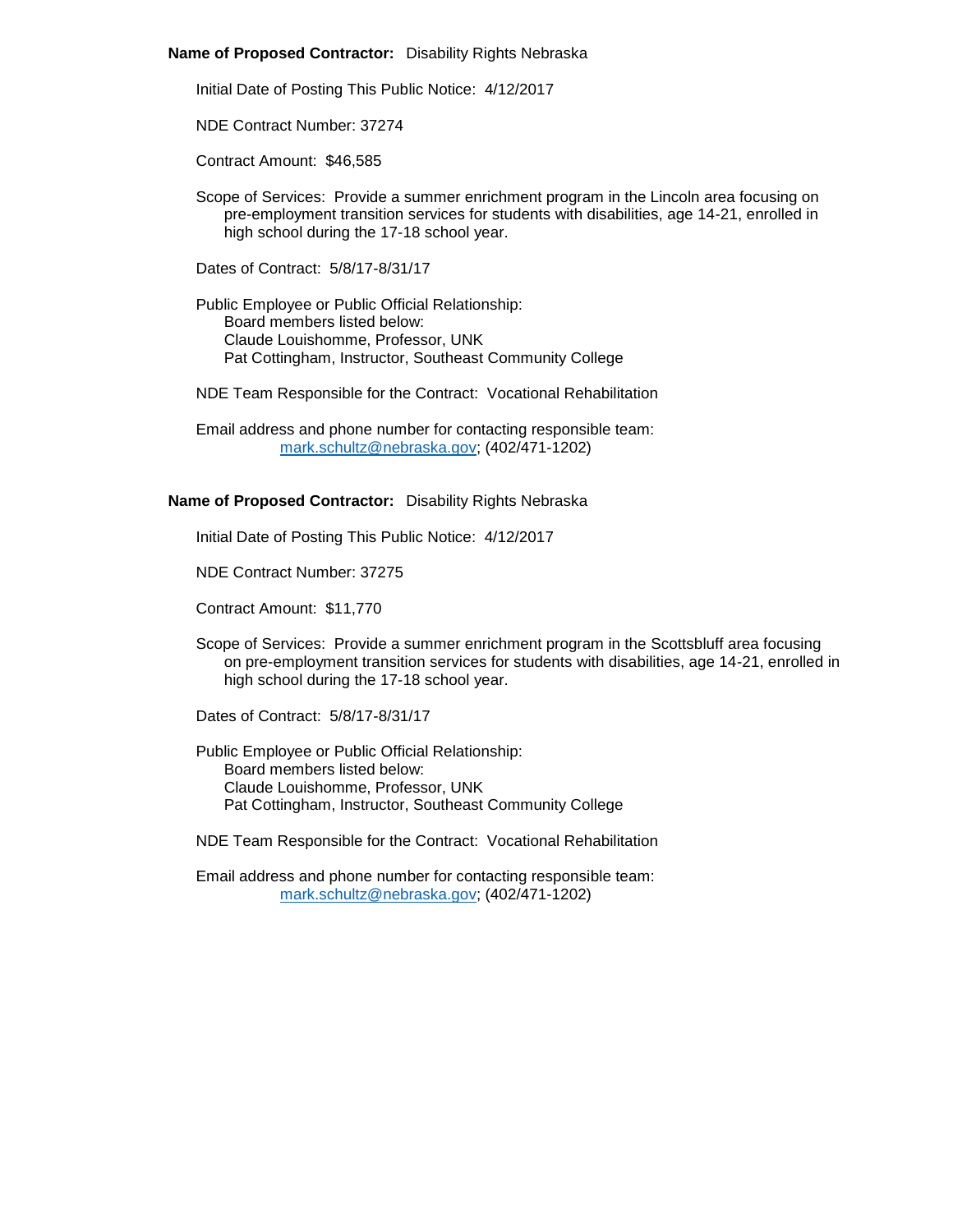### **Name of Proposed Contractor:** Disability Rights Nebraska

Initial Date of Posting This Public Notice: 4/12/2017

NDE Contract Number: 37274

Contract Amount: \$46,585

Scope of Services: Provide a summer enrichment program in the Lincoln area focusing on pre-employment transition services for students with disabilities, age 14-21, enrolled in high school during the 17-18 school year.

Dates of Contract: 5/8/17-8/31/17

Public Employee or Public Official Relationship: Board members listed below: Claude Louishomme, Professor, UNK Pat Cottingham, Instructor, Southeast Community College

NDE Team Responsible for the Contract: Vocational Rehabilitation

Email address and phone number for contacting responsible team: [mark.schultz@nebraska.gov;](mailto:mark.schultz@nebraska.gov) (402/471-1202)

### **Name of Proposed Contractor:** Disability Rights Nebraska

Initial Date of Posting This Public Notice: 4/12/2017

NDE Contract Number: 37275

Contract Amount: \$11,770

Scope of Services: Provide a summer enrichment program in the Scottsbluff area focusing on pre-employment transition services for students with disabilities, age 14-21, enrolled in high school during the 17-18 school year.

Dates of Contract: 5/8/17-8/31/17

Public Employee or Public Official Relationship: Board members listed below: Claude Louishomme, Professor, UNK Pat Cottingham, Instructor, Southeast Community College

NDE Team Responsible for the Contract: Vocational Rehabilitation

Email address and phone number for contacting responsible team: [mark.schultz@nebraska.gov;](mailto:mark.schultz@nebraska.gov) (402/471-1202)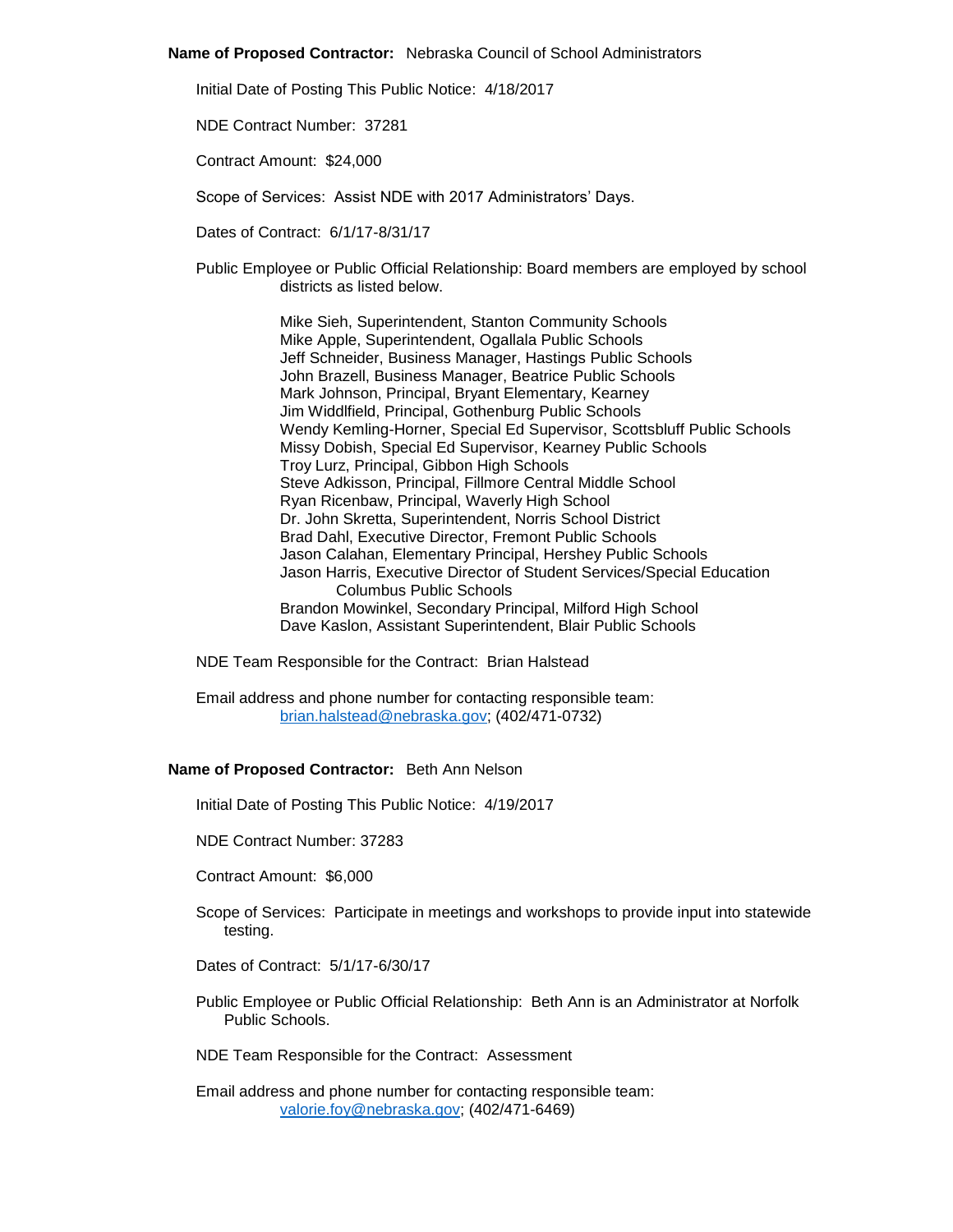### **Name of Proposed Contractor:** Nebraska Council of School Administrators

Initial Date of Posting This Public Notice: 4/18/2017

NDE Contract Number: 37281

Contract Amount: \$24,000

Scope of Services: Assist NDE with 2017 Administrators' Days.

Dates of Contract: 6/1/17-8/31/17

Public Employee or Public Official Relationship: Board members are employed by school districts as listed below.

> Mike Sieh, Superintendent, Stanton Community Schools Mike Apple, Superintendent, Ogallala Public Schools Jeff Schneider, Business Manager, Hastings Public Schools John Brazell, Business Manager, Beatrice Public Schools Mark Johnson, Principal, Bryant Elementary, Kearney Jim Widdlfield, Principal, Gothenburg Public Schools Wendy Kemling-Horner, Special Ed Supervisor, Scottsbluff Public Schools Missy Dobish, Special Ed Supervisor, Kearney Public Schools Troy Lurz, Principal, Gibbon High Schools Steve Adkisson, Principal, Fillmore Central Middle School Ryan Ricenbaw, Principal, Waverly High School Dr. John Skretta, Superintendent, Norris School District Brad Dahl, Executive Director, Fremont Public Schools Jason Calahan, Elementary Principal, Hershey Public Schools Jason Harris, Executive Director of Student Services/Special Education Columbus Public Schools Brandon Mowinkel, Secondary Principal, Milford High School Dave Kaslon, Assistant Superintendent, Blair Public Schools

NDE Team Responsible for the Contract: Brian Halstead

Email address and phone number for contacting responsible team: [brian.halstead@nebraska.gov;](mailto:brian.halstead@nebraska.gov) (402/471-0732)

### **Name of Proposed Contractor:** Beth Ann Nelson

Initial Date of Posting This Public Notice: 4/19/2017

NDE Contract Number: 37283

Contract Amount: \$6,000

- Scope of Services: Participate in meetings and workshops to provide input into statewide testing.
- Dates of Contract: 5/1/17-6/30/17
- Public Employee or Public Official Relationship: Beth Ann is an Administrator at Norfolk Public Schools.

NDE Team Responsible for the Contract: Assessment

Email address and phone number for contacting responsible team: [valorie.foy@nebraska.gov;](mailto:valorie.foy@nebraska.gov) (402/471-6469)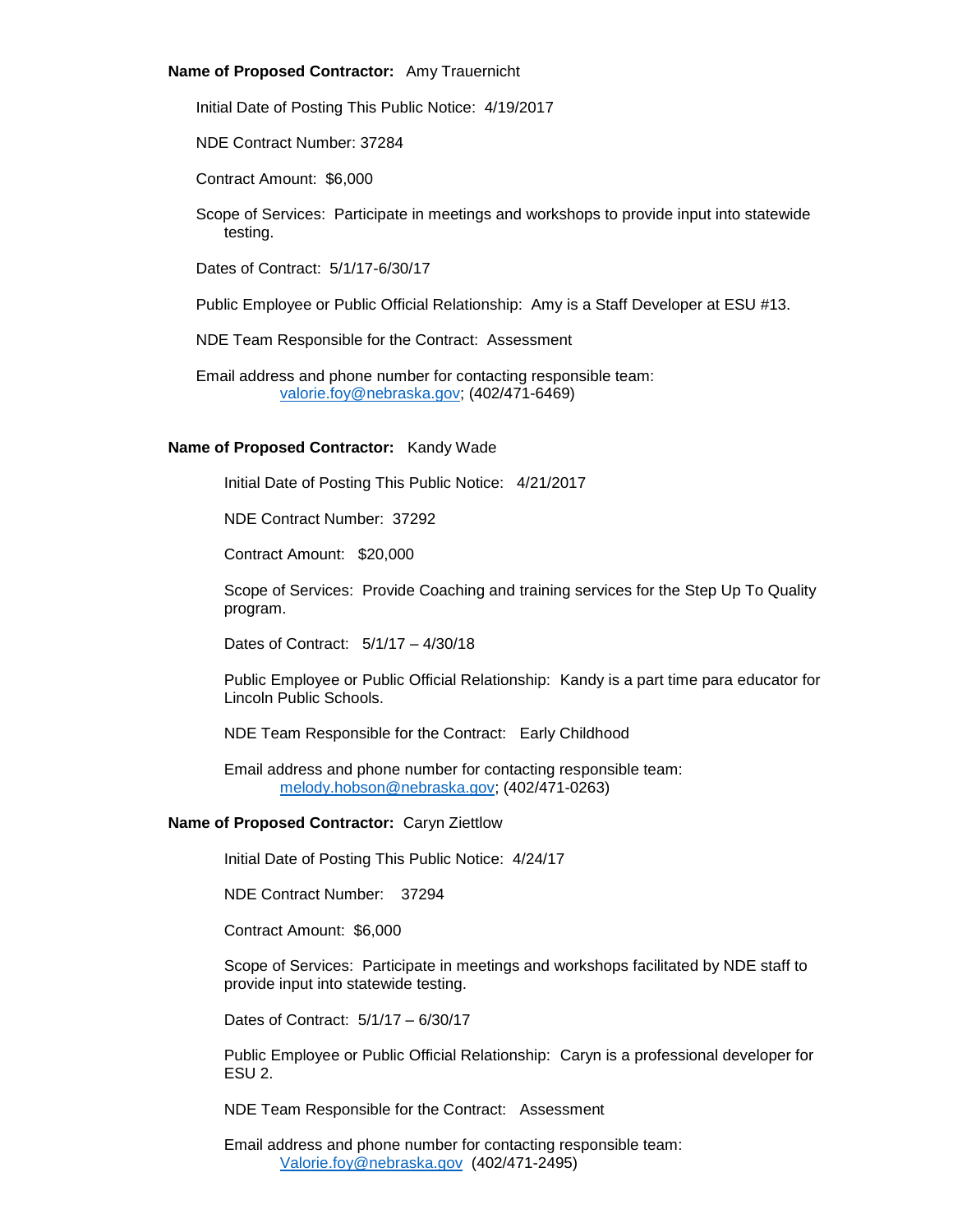# **Name of Proposed Contractor:** Amy Trauernicht

Initial Date of Posting This Public Notice: 4/19/2017

NDE Contract Number: 37284

Contract Amount: \$6,000

Scope of Services: Participate in meetings and workshops to provide input into statewide testing.

Dates of Contract: 5/1/17-6/30/17

Public Employee or Public Official Relationship: Amy is a Staff Developer at ESU #13.

NDE Team Responsible for the Contract: Assessment

Email address and phone number for contacting responsible team: [valorie.foy@nebraska.gov;](mailto:valorie.foy@nebraska.gov) (402/471-6469)

### **Name of Proposed Contractor:** Kandy Wade

Initial Date of Posting This Public Notice: 4/21/2017

NDE Contract Number: 37292

Contract Amount: \$20,000

Scope of Services: Provide Coaching and training services for the Step Up To Quality program.

Dates of Contract: 5/1/17 – 4/30/18

Public Employee or Public Official Relationship: Kandy is a part time para educator for Lincoln Public Schools.

NDE Team Responsible for the Contract: Early Childhood

Email address and phone number for contacting responsible team: [melody.hobson@nebraska.gov;](mailto:melody.hobson@nebraska.gov) (402/471-0263)

## **Name of Proposed Contractor:** Caryn Ziettlow

Initial Date of Posting This Public Notice: 4/24/17

NDE Contract Number: 37294

Contract Amount: \$6,000

Scope of Services: Participate in meetings and workshops facilitated by NDE staff to provide input into statewide testing.

Dates of Contract: 5/1/17 – 6/30/17

Public Employee or Public Official Relationship: Caryn is a professional developer for ESU 2.

NDE Team Responsible for the Contract: Assessment

Email address and phone number for contacting responsible team: [Valorie.foy@nebraska.gov](mailto:Valorie.foy@nebraska.gov) (402/471-2495)